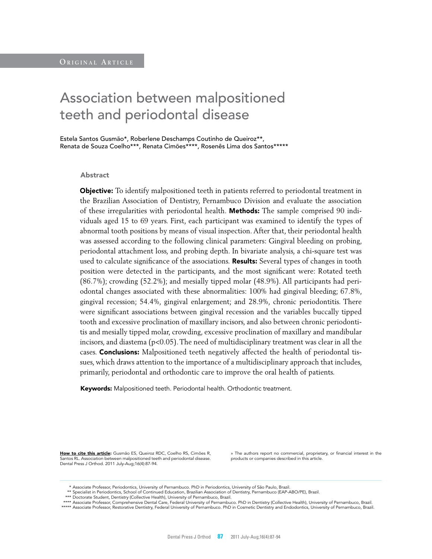# Association between malpositioned teeth and periodontal disease

Estela Santos Gusmão\*, Roberlene Deschamps Coutinho de Queiroz\*\*, Renata de Souza Coelho\*\*\*, Renata Cimões\*\*\*\*, Rosenês Lima dos Santos\*\*\*\*\*

#### Abstract

**Objective:** To identify malpositioned teeth in patients referred to periodontal treatment in the Brazilian Association of Dentistry, Pernambuco Division and evaluate the association of these irregularities with periodontal health. **Methods:** The sample comprised 90 individuals aged 15 to 69 years. First, each participant was examined to identify the types of abnormal tooth positions by means of visual inspection. After that, their periodontal health was assessed according to the following clinical parameters: Gingival bleeding on probing, periodontal attachment loss, and probing depth. In bivariate analysis, a chi-square test was used to calculate significance of the associations. **Results:** Several types of changes in tooth position were detected in the participants, and the most significant were: Rotated teeth (86.7%); crowding (52.2%); and mesially tipped molar (48.9%). All participants had periodontal changes associated with these abnormalities: 100% had gingival bleeding; 67.8%, gingival recession; 54.4%, gingival enlargement; and 28.9%, chronic periodontitis. There were significant associations between gingival recession and the variables buccally tipped tooth and excessive proclination of maxillary incisors, and also between chronic periodontitis and mesially tipped molar, crowding, excessive proclination of maxillary and mandibular incisors, and diastema ( $p<0.05$ ). The need of multidisciplinary treatment was clear in all the cases. Conclusions: Malpositioned teeth negatively affected the health of periodontal tissues, which draws attention to the importance of a multidisciplinary approach that includes, primarily, periodontal and orthodontic care to improve the oral health of patients.

Keywords: Malpositioned teeth. Periodontal health. Orthodontic treatment.

How to cite this article: Gusmão ES, Queiroz RDC, Coelho RS, Cimões R, Santos RL. Association between malpositioned teeth and periodontal disease. Dental Press J Orthod. 2011 July-Aug;16(4):87-94.

» The authors report no commercial, proprietary, or financial interest in the products or companies described in this article.

<sup>\*</sup> Associate Professor, Periodontics, University of Pernambuco. PhD in Periodontics, University of São Paulo, Brazil.

<sup>\*\*</sup> Specialist in Periodontics, School of Continued Education, Brazilian Association of Dentistry, Pernambuco (EAP-ABO/PE), Brazil.

<sup>\*\*\*</sup> Doctorate Student, Dentistry (Collective Health), University of Pernambuco, Brazil.

<sup>\*\*\*\*</sup> Associate Professor, Comprehensive Dental Care, Federal University of Pernambuco. PhD in Dentistry (Collective Health), University of Pernambuco, Brazil. \*\*\*\*\* Associate Professor, Restorative Dentistry, Federal University of Pernambuco. PhD in Cosmetic Dentistry and Endodontics, University of Pernambuco, Brazil.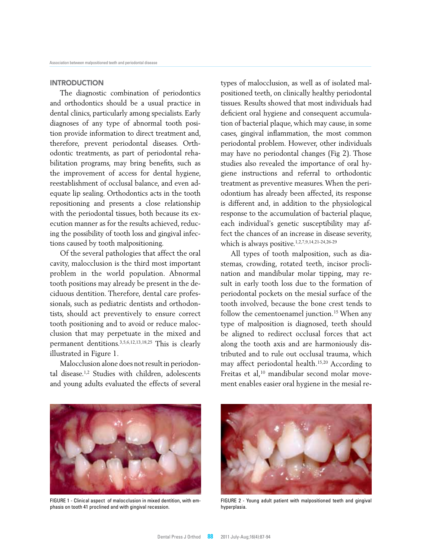# **INTRODUCTION**

The diagnostic combination of periodontics and orthodontics should be a usual practice in dental clinics, particularly among specialists. Early diagnoses of any type of abnormal tooth position provide information to direct treatment and, therefore, prevent periodontal diseases. Orthodontic treatments, as part of periodontal rehabilitation programs, may bring benefits, such as the improvement of access for dental hygiene, reestablishment of occlusal balance, and even adequate lip sealing. Orthodontics acts in the tooth repositioning and presents a close relationship with the periodontal tissues, both because its execution manner as for the results achieved, reducing the possibility of tooth loss and gingival infections caused by tooth malpositioning.

Of the several pathologies that affect the oral cavity, malocclusion is the third most important problem in the world population. Abnormal tooth positions may already be present in the deciduous dentition. Therefore, dental care professionals, such as pediatric dentists and orthodontists, should act preventively to ensure correct tooth positioning and to avoid or reduce malocclusion that may perpetuate in the mixed and permanent dentitions.3,5,6,12,13,18,25 This is clearly illustrated in Figure 1.

Malocclusion alone does not result in periodontal disease.1,2 Studies with children, adolescents and young adults evaluated the effects of several types of malocclusion, as well as of isolated malpositioned teeth, on clinically healthy periodontal tissues. Results showed that most individuals had deficient oral hygiene and consequent accumulation of bacterial plaque, which may cause, in some cases, gingival inflammation, the most common periodontal problem. However, other individuals may have no periodontal changes (Fig 2). Those studies also revealed the importance of oral hygiene instructions and referral to orthodontic treatment as preventive measures. When the periodontium has already been affected, its response is different and, in addition to the physiological response to the accumulation of bacterial plaque, each individual's genetic susceptibility may affect the chances of an increase in disease severity, which is always positive.<sup>1,2,7,9,14,21-24,26-29</sup>

All types of tooth malposition, such as diastemas, crowding, rotated teeth, incisor proclination and mandibular molar tipping, may result in early tooth loss due to the formation of periodontal pockets on the mesial surface of the tooth involved, because the bone crest tends to follow the cementoenamel junction.<sup>15</sup> When any type of malposition is diagnosed, teeth should be aligned to redirect occlusal forces that act along the tooth axis and are harmoniously distributed and to rule out occlusal trauma, which may affect periodontal health.15,20 According to Freitas et al,<sup>10</sup> mandibular second molar movement enables easier oral hygiene in the mesial re-



FIGURE 1 - Clinical aspect of malocclusion in mixed dentition, with emphasis on tooth 41 proclined and with gingival recession.



FIGURE 2 - Young adult patient with malpositioned teeth and gingival hyperplasia.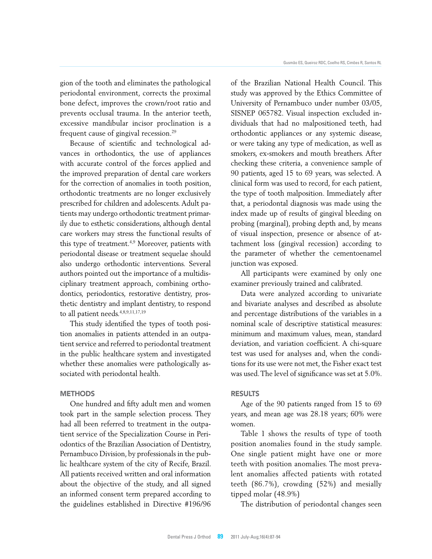gion of the tooth and eliminates the pathological periodontal environment, corrects the proximal bone defect, improves the crown/root ratio and prevents occlusal trauma. In the anterior teeth, excessive mandibular incisor proclination is a frequent cause of gingival recession.29

Because of scientific and technological advances in orthodontics, the use of appliances with accurate control of the forces applied and the improved preparation of dental care workers for the correction of anomalies in tooth position, orthodontic treatments are no longer exclusively prescribed for children and adolescents. Adult patients may undergo orthodontic treatment primarily due to esthetic considerations, although dental care workers may stress the functional results of this type of treatment. $4,9$  Moreover, patients with periodontal disease or treatment sequelae should also undergo orthodontic interventions. Several authors pointed out the importance of a multidisciplinary treatment approach, combining orthodontics, periodontics, restorative dentistry, prosthetic dentistry and implant dentistry, to respond to all patient needs.4,8,9,11,17,19

This study identified the types of tooth position anomalies in patients attended in an outpatient service and referred to periodontal treatment in the public healthcare system and investigated whether these anomalies were pathologically associated with periodontal health.

## **METHODS**

One hundred and fifty adult men and women took part in the sample selection process. They had all been referred to treatment in the outpatient service of the Specialization Course in Periodontics of the Brazilian Association of Dentistry, Pernambuco Division, by professionals in the public healthcare system of the city of Recife, Brazil. All patients received written and oral information about the objective of the study, and all signed an informed consent term prepared according to the guidelines established in Directive #196/96

of the Brazilian National Health Council. This study was approved by the Ethics Committee of University of Pernambuco under number 03/05, SISNEP 065782. Visual inspection excluded individuals that had no malpositioned teeth, had orthodontic appliances or any systemic disease, or were taking any type of medication, as well as smokers, ex-smokers and mouth breathers. After checking these criteria, a convenience sample of 90 patients, aged 15 to 69 years, was selected. A clinical form was used to record, for each patient, the type of tooth malposition. Immediately after that, a periodontal diagnosis was made using the index made up of results of gingival bleeding on probing (marginal), probing depth and, by means of visual inspection, presence or absence of attachment loss (gingival recession) according to the parameter of whether the cementoenamel junction was exposed.

All participants were examined by only one examiner previously trained and calibrated.

Data were analyzed according to univariate and bivariate analyses and described as absolute and percentage distributions of the variables in a nominal scale of descriptive statistical measures: minimum and maximum values, mean, standard deviation, and variation coefficient. A chi-square test was used for analyses and, when the conditions for its use were not met, the Fisher exact test was used. The level of significance was set at 5.0%.

### RESULTS

Age of the 90 patients ranged from 15 to 69 years, and mean age was 28.18 years; 60% were women.

Table 1 shows the results of type of tooth position anomalies found in the study sample. One single patient might have one or more teeth with position anomalies. The most prevalent anomalies affected patients with rotated teeth (86.7%), crowding (52%) and mesially tipped molar (48.9%)

The distribution of periodontal changes seen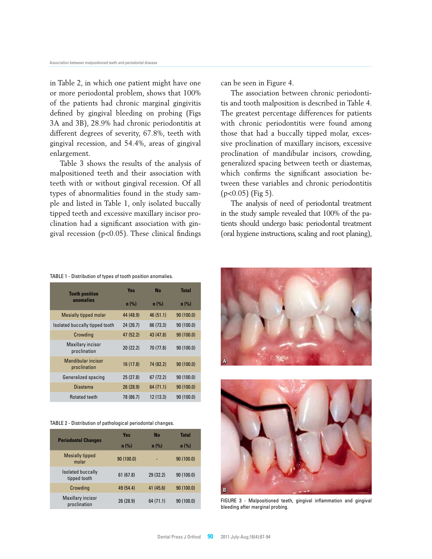in Table 2, in which one patient might have one or more periodontal problem, shows that 100% of the patients had chronic marginal gingivitis defined by gingival bleeding on probing (Figs 3A and 3B), 28.9% had chronic periodontitis at different degrees of severity, 67.8%, teeth with gingival recession, and 54.4%, areas of gingival enlargement.

Table 3 shows the results of the analysis of malpositioned teeth and their association with teeth with or without gingival recession. Of all types of abnormalities found in the study sample and listed in Table 1, only isolated buccally tipped teeth and excessive maxillary incisor proclination had a significant association with gingival recession ( $p<0.05$ ). These clinical findings can be seen in Figure 4.

The association between chronic periodontitis and tooth malposition is described in Table 4. The greatest percentage differences for patients with chronic periodontitis were found among those that had a buccally tipped molar, excessive proclination of maxillary incisors, excessive proclination of mandibular incisors, crowding, generalized spacing between teeth or diastemas, which confirms the significant association between these variables and chronic periodontitis  $(p<0.05)$  (Fig 5).

The analysis of need of periodontal treatment in the study sample revealed that 100% of the patients should undergo basic periodontal treatment (oral hygiene instructions, scaling and root planing),

| <b>Tooth position</b>                    | <b>Yes</b> | <b>No</b> | <b>Total</b> |
|------------------------------------------|------------|-----------|--------------|
| anomalies                                | $n$ (%)    | n (% )    | $n$ (%)      |
| <b>Mesially tipped molar</b>             | 44 (48.9)  | 46 (51.1) | 90(100.0)    |
| Isolated buccally tipped tooth           | 24(26.7)   | 66 (73.3) | 90 (100.0)   |
| Crowding                                 | 47 (52.2)  | 43 (47.8) | 90(100.0)    |
| <b>Maxillary incisor</b><br>proclination | 20(22.2)   | 70 (77.8) | 90 (100.0)   |
| Mandibular incisor<br>proclination       | 16 (17.8)  | 74 (82.2) | 90(100.0)    |
| Generalized spacing                      | 25(27.8)   | 67(72.2)  | 90 (100.0)   |
| Diastema                                 | 26 (28.9)  | 64(71.1)  | 90 (100.0)   |
| <b>Rotated teeth</b>                     | 78 (86.7)  | 12 (13.3) | 90 (100.0)   |

TABLE 1 - Distribution of types of tooth position anomalies.

TABLE 2 - Distribution of pathological periodontal changes.

| <b>Periodontal Changes</b>               | <b>Yes</b> | <b>No</b> | <b>Total</b> |           |
|------------------------------------------|------------|-----------|--------------|-----------|
|                                          | n (% )     | $n$ (%)   | $n$ (%)      |           |
| <b>Mesially tipped</b><br>molar          |            | 90(100.0) |              | 90(100.0) |
| Isolated buccally<br>tipped tooth        |            | 61(67.8)  | 29 (32.2)    | 90(100.0) |
| Crowding                                 |            | 49 (54.4) | 41 (45.6)    | 90(100.0) |
| <b>Maxillary incisor</b><br>proclination |            | 26 (28.9) | 64 (71.1)    | 90(100.0) |





FIGURE 3 - Malpositioned teeth, gingival inflammation and gingival bleeding after marginal probing.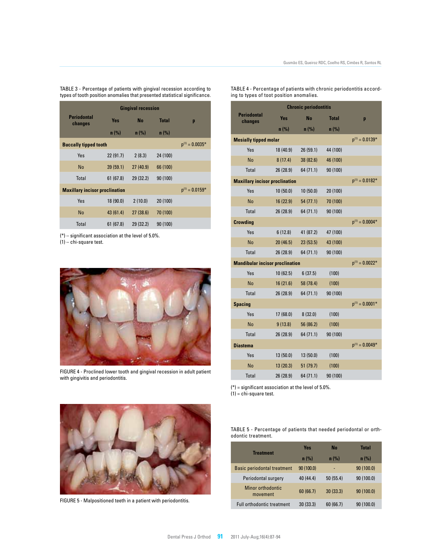| <b>Gingival recession</b>             |            |           |                     |                     |
|---------------------------------------|------------|-----------|---------------------|---------------------|
| <b>Periodontal</b><br>changes         | <b>Yes</b> | <b>No</b> | <b>Total</b>        | p                   |
|                                       | $n$ (%)    | $n$ (%)   | $n$ (%)             |                     |
| <b>Buccally tipped tooth</b>          |            |           |                     | $p^{(1)} = 0.0035*$ |
| <b>Yes</b>                            | 22(91.7)   | 2(8.3)    | 24 (100)            |                     |
| <b>No</b>                             | 39(59.1)   | 27(40.9)  | 66 (100)            |                     |
| Total                                 | 61(67.8)   | 29 (32.2) | 90 (100)            |                     |
| <b>Maxillary incisor proclination</b> |            |           | $p^{(1)} = 0.0159*$ |                     |
| Yes                                   | 18 (90.0)  | 2(10.0)   | 20 (100)            |                     |
| <b>No</b>                             | 43 (61.4)  | 27(38.6)  | 70 (100)            |                     |
| Total                                 | 61(67.8)   | 29 (32.2) | 90(100)             |                     |

tablE 3 - Percentage of patients with gingival recession according to types of tooth position anomalies that presented statistical significance.

(\*) – significant association at the level of 5.0%.

(1) – chi-square test.



FIGURE 4 - Proclined lower tooth and gingival recession in adult patient with gingivitis and periodontitis.

|                                        |            | <b>Chronic periodontitis</b> |              |                     |
|----------------------------------------|------------|------------------------------|--------------|---------------------|
| <b>Periodontal</b><br>changes          | <b>Yes</b> | <b>No</b>                    | <b>Total</b> | p                   |
|                                        | n(%)       | n(% )                        | n(% )        |                     |
| <b>Mesially tipped molar</b>           |            |                              |              | $p^{(1)} = 0.0139*$ |
| Yes                                    | 18 (40.9)  | 26 (59.1)                    | 44 (100)     |                     |
| <b>No</b>                              | 8(17.4)    | 38 (82.6)                    | 46 (100)     |                     |
| <b>Total</b>                           | 26 (28.9)  | 64 (71.1)                    | 90 (100)     |                     |
| <b>Maxillary incisor proclination</b>  |            |                              |              | $p^{(1)} = 0.0182*$ |
| Yes                                    | 10(50.0)   | 10 (50.0)                    | 20 (100)     |                     |
| <b>No</b>                              | 16 (22.9)  | 54 (77.1)                    | 70 (100)     |                     |
| Total                                  | 26 (28.9)  | 64 (71.1)                    | 90 (100)     |                     |
| <b>Crowding</b>                        |            |                              |              | $p^{(1)} = 0.0004*$ |
| Yes                                    | 6(12.8)    | 41 (87.2)                    | 47 (100)     |                     |
| <b>No</b>                              | 20(46.5)   | 23(53.5)                     | 43 (100)     |                     |
| Total                                  | 26 (28.9)  | 64 (71.1)                    | 90 (100)     |                     |
| <b>Mandibular incisor proclination</b> |            |                              |              | $p^{(1)} = 0.0022*$ |
| Yes                                    | 10(62.5)   | 6(37.5)                      | (100)        |                     |
| <b>No</b>                              | 16(21.6)   | 58 (78.4)                    | (100)        |                     |
| <b>Total</b>                           | 26 (28.9)  | 64 (71.1)                    | 90 (100)     |                     |
| <b>Spacing</b>                         |            |                              |              | $p^{(1)} = 0.0001*$ |
| Yes                                    | 17(68.0)   | 8(32.0)                      | (100)        |                     |
| <b>No</b>                              | 9(13.8)    | 56 (86.2)                    | (100)        |                     |
| Total                                  | 26 (28.9)  | 64 (71.1)                    | 90 (100)     |                     |
| <b>Diastema</b>                        |            |                              |              | $p^{(1)} = 0.0049*$ |
| Yes                                    | 13(50.0)   | 13(50.0)                     | (100)        |                     |
| <b>No</b>                              | 13 (20.3)  | 51 (79.7)                    | (100)        |                     |
| Total                                  | 26 (28.9)  | 64 (71.1)                    | 90 (100)     |                     |

 $(*)$  = significant association at the level of 5.0%.





FIGURE 5 - Malpositioned teeth in a patient with periodontitis.

tablE 5 - Percentage of patients that needed periodontal or orthodontic treatment.

|                                    | <b>Yes</b> | <b>No</b> | <b>Total</b> |
|------------------------------------|------------|-----------|--------------|
| <b>Treatment</b>                   | n(% )      | n (% )    | n(% )        |
| <b>Basic periodontal treatment</b> | 90 (100.0) |           | 90 (100.0)   |
| Periodontal surgery                | 40 (44.4)  | 50(55.4)  | 90 (100.0)   |
| Minor orthodontic<br>movement      | 60(66.7)   | 30(33.3)  | 90 (100.0)   |
| <b>Full orthodontic treatment</b>  | 30(33.3)   | 60 (66.7) | 90 (100.0)   |

tablE 4 - Percentage of patients with chronic periodontitis according to types of toot position anomalies.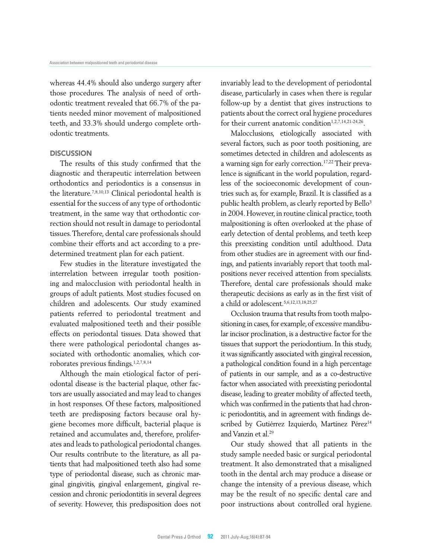whereas 44.4% should also undergo surgery after those procedures. The analysis of need of orthodontic treatment revealed that 66.7% of the patients needed minor movement of malpositioned teeth, and 33.3% should undergo complete orthodontic treatments.

### **DISCUSSION**

The results of this study confirmed that the diagnostic and therapeutic interrelation between orthodontics and periodontics is a consensus in the literature.7,8,10,13 Clinical periodontal health is essential for the success of any type of orthodontic treatment, in the same way that orthodontic correction should not result in damage to periodontal tissues. Therefore, dental care professionals should combine their efforts and act according to a predetermined treatment plan for each patient.

Few studies in the literature investigated the interrelation between irregular tooth positioning and malocclusion with periodontal health in groups of adult patients. Most studies focused on children and adolescents. Our study examined patients referred to periodontal treatment and evaluated malpositioned teeth and their possible effects on periodontal tissues. Data showed that there were pathological periodontal changes associated with orthodontic anomalies, which corroborates previous findings.1,2,7,8,14

Although the main etiological factor of periodontal disease is the bacterial plaque, other factors are usually associated and may lead to changes in host responses. Of these factors, malpositioned teeth are predisposing factors because oral hygiene becomes more difficult, bacterial plaque is retained and accumulates and, therefore, proliferates and leads to pathological periodontal changes. Our results contribute to the literature, as all patients that had malpositioned teeth also had some type of periodontal disease, such as chronic marginal gingivitis, gingival enlargement, gingival recession and chronic periodontitis in several degrees of severity. However, this predisposition does not invariably lead to the development of periodontal disease, particularly in cases when there is regular follow-up by a dentist that gives instructions to patients about the correct oral hygiene procedures for their current anatomic condition<sup>1,2,7,14,21-24,26</sup>.

Malocclusions, etiologically associated with several factors, such as poor tooth positioning, are sometimes detected in children and adolescents as a warning sign for early correction.17,22 Their prevalence is significant in the world population, regardless of the socioeconomic development of countries such as, for example, Brazil. It is classified as a public health problem, as clearly reported by Bello<sup>3</sup> in 2004. However, in routine clinical practice, tooth malpositioning is often overlooked at the phase of early detection of dental problems, and teeth keep this preexisting condition until adulthood. Data from other studies are in agreement with our findings, and patients invariably report that tooth malpositions never received attention from specialists. Therefore, dental care professionals should make therapeutic decisions as early as in the first visit of a child or adolescent.5,6,12,13,18,25,27

Occlusion trauma that results from tooth malpositioning in cases, for example, of excessive mandibular incisor proclination, is a destructive factor for the tissues that support the periodontium. In this study, it was significantly associated with gingival recession, a pathological condition found in a high percentage of patients in our sample, and as a co-destructive factor when associated with preexisting periodontal disease, leading to greater mobility of affected teeth, which was confirmed in the patients that had chronic periodontitis, and in agreement with findings described by Gutiérrez Izquierdo, Martínez Pérez<sup>14</sup> and Vanzin et al.29

Our study showed that all patients in the study sample needed basic or surgical periodontal treatment. It also demonstrated that a misaligned tooth in the dental arch may produce a disease or change the intensity of a previous disease, which may be the result of no specific dental care and poor instructions about controlled oral hygiene.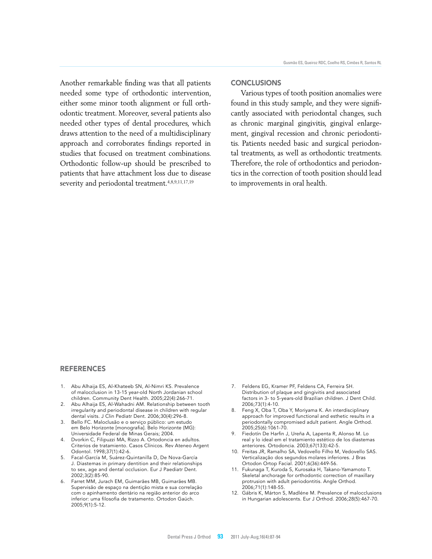Another remarkable finding was that all patients needed some type of orthodontic intervention, either some minor tooth alignment or full orthodontic treatment. Moreover, several patients also needed other types of dental procedures, which draws attention to the need of a multidisciplinary approach and corroborates findings reported in studies that focused on treatment combinations. Orthodontic follow-up should be prescribed to patients that have attachment loss due to disease severity and periodontal treatment.<sup>4,8,9,11,17,19</sup>

#### **CONCLUSIONS**

Various types of tooth position anomalies were found in this study sample, and they were significantly associated with periodontal changes, such as chronic marginal gingivitis, gingival enlargement, gingival recession and chronic periodontitis. Patients needed basic and surgical periodontal treatments, as well as orthodontic treatments. Therefore, the role of orthodontics and periodontics in the correction of tooth position should lead to improvements in oral health.

#### **REFERENCES**

- 1. Abu Alhaija ES, Al-Khateeb SN, Al-Nimri KS. Prevalence of malocclusion in 13-15 year-old North Jordanian school children. Community Dent Health. 2005;22(4):266-71.
- 2. Abu Alhaija ES, Al-Wahadni AM. Relationship between tooth irregularity and periodontal disease in children with regular dental visits. J Clin Pediatr Dent. 2006;30(4):296-8.
- 3. Bello FC. Maloclusão e o serviço público: um estudo em Belo Horizonte [monografia]. Belo Horizonte (MG): Universidade Federal de Minas Gerais; 2004.
- 4. Dvorkin C, Filipuzzi MA, Rizzo A. Ortodoncia en adultos. Criterios de tratamiento. Casos Clínicos. Rev Ateneo Argent Odontol. 1998;37(1):42-6.
- 5. Facal-García M, Suárez-Quintanilla D, De Nova-García J. Diastemas in primary dentition and their relationships to sex, age and dental occlusion. Eur J Paediatr Dent. 2002;3(2):85-90.
- 6. Farret MM, Jurach EM, Guimarães MB, Guimarães MB. Supervisão de espaço na dentição mista e sua correlação com o apinhamento dentário na região anterior do arco inferior: uma filosofia de tratamento. Ortodon Gaúch. 2005;9(1):5-12.
- 7. Feldens EG, Kramer PF, Feldens CA, Ferreira SH. Distribution of plaque and gingivitis and associated factors in 3- to 5-years-old Brazilian children. J Dent Child. 2006;73(1):4-10.
- 8. Feng X, Oba T, Oba Y, Moriyama K. An interdisciplinary approach for improved functional and esthetic results in a periodontally compromised adult patient. Angle Orthod. 2005;25(6):1061-70.
- 9. Fiedotín De Harfin J, Ureña A, Lapenta R, Alonso M. Lo real y lo ideal em el tratamiento estético de los diastemas anteriores. Ortodoncia. 2003;67(133):42-5.
- 10. Freitas JR, Ramalho SA, Vedovello Filho M, Vedovello SAS. Verticalização dos segundos molares inferiores. J Bras Ortodon Ortop Facial. 2001;6(36):449-56.
- 11. Fukunaga T, Kuroda S, Kurosaka H, Takano-Yamamoto T. Skeletal anchorage for orthodontic correction of maxillary protrusion with adult periodontitis. Angle Orthod. 2006;71(1):148-55.
- 12. Gábris K, Márton S, Madléne M. Prevalence of malocclusions in Hungarian adolescents. Eur J Orthod. 2006;28(5):467-70.